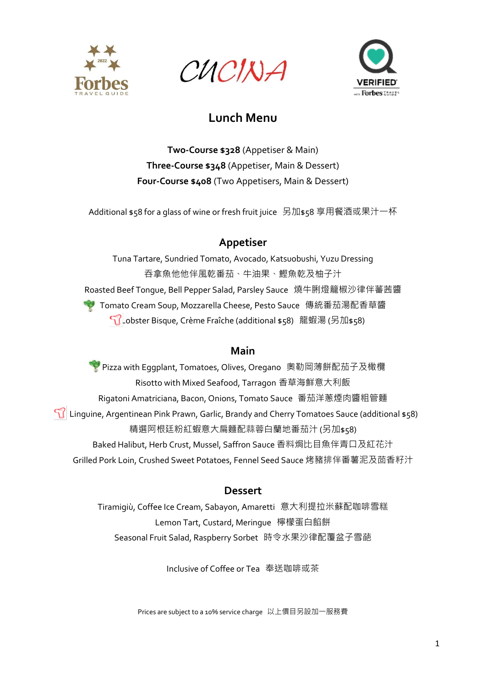

CUCINA



**Two-Course \$328** (Appetiser & Main) **Three-Course \$348** (Appetiser, Main & Dessert) **Four-Course \$408** (Two Appetisers, Main & Dessert)

Additional \$58 for a glass of wine or fresh fruit juice 另加\$58 享用餐酒或果汁一杯

### **Appetiser**

Tuna Tartare, Sundried Tomato, Avocado, Katsuobushi, Yuzu Dressing 吞拿魚他他伴風乾番茄、牛油果、鰹魚乾及柚子汁 Roasted Beef Tongue, Bell Pepper Salad, Parsley Sauce 燒牛脷燈籠椒沙律伴蕃茜醬 Tomato Cream Soup, Mozzarella Cheese, Pesto Sauce 傳統番茄湯配香草醬 Lobster Bisque, Crème Fraîche (additional \$58) 龍蝦湯 (另加\$58)

#### **Main**

Pizza with Eggplant, Tomatoes, Olives, Oregano 奧勒岡薄餅配茄子及橄欖 Risotto with Mixed Seafood, Tarragon 香草海鮮意大利飯 Rigatoni Amatriciana, Bacon, Onions, Tomato Sauce 番茄洋蔥煙肉醬粗管麵 Linguine, Argentinean Pink Prawn, Garlic, Brandy and Cherry Tomatoes Sauce (additional \$58) 精選阿根廷粉紅蝦意大扁麵配蒜蓉白蘭地番茄汁 (另加\$58) Baked Halibut, Herb Crust, Mussel, Saffron Sauce 香料焗比目魚伴青口及紅花汁 Grilled Pork Loin, Crushed Sweet Potatoes, Fennel Seed Sauce 烤豬排伴番薯泥及茴香籽汁

#### **Dessert**

Tiramigiù, Coffee Ice Cream, Sabayon, Amaretti 意大利提拉米蘇配咖啡雪糕 Lemon Tart, Custard, Meringue 檸檬蛋白餡餅 Seasonal Fruit Salad, Raspberry Sorbet 時令水果沙律配覆盆子雪葩

Inclusive of Coffee or Tea 奉送咖啡或茶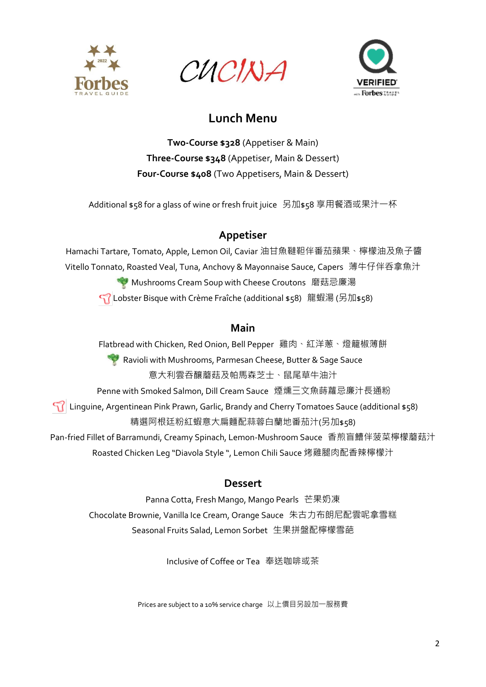

CUCINA



**Two-Course \$328** (Appetiser & Main) **Three-Course \$348** (Appetiser, Main & Dessert) **Four-Course \$408** (Two Appetisers, Main & Dessert)

Additional \$58 for a glass of wine or fresh fruit juice 另加\$58 享用餐酒或果汁一杯

### **Appetiser**

Hamachi Tartare, Tomato, Apple, Lemon Oil, Caviar 油甘魚韃靼伴番茄蘋果、檸檬油及魚子醬 Vitello Tonnato, Roasted Veal, Tuna, Anchovy & Mayonnaise Sauce, Capers 薄牛仔伴呑拿魚汁 **Mushrooms Cream Soup with Cheese Croutons** 磨菇忌廉湯 Lobster Bisque with Crème Fraîche (additional \$58) 龍蝦湯 (另加\$58)

### **Main**

Flatbread with Chicken, Red Onion, Bell Pepper 雞肉、紅洋蔥、燈籠椒薄餅 Ravioli with Mushrooms, Parmesan Cheese, Butter & Sage Sauce 意大利雲吞釀蘑菇及帕馬森芝士、鼠尾草牛油汁 Penne with Smoked Salmon, Dill Cream Sauce 煙燻三文魚蒔蘿忌廉汁長通粉 Linguine, Argentinean Pink Prawn, Garlic, Brandy and Cherry Tomatoes Sauce (additional \$58) 精選阿根廷粉紅蝦意大扁麵配蒜蓉白蘭地番茄汁(另加\$58) Pan-fried Fillet of Barramundi, Creamy Spinach, Lemon-Mushroom Sauce 香煎盲鰽伴菠菜檸檬蘑菇汁 Roasted Chicken Leg "Diavola Style ", Lemon Chili Sauce 烤雞腿肉配香辣檸檬汁

### **Dessert**

Panna Cotta, Fresh Mango, Mango Pearls 芒果奶凍 Chocolate Brownie, Vanilla Ice Cream, Orange Sauce 朱古力布朗尼配雲呢拿雪糕 Seasonal Fruits Salad, Lemon Sorbet 生果拼盤配檸檬雪葩

Inclusive of Coffee or Tea 奉送咖啡或茶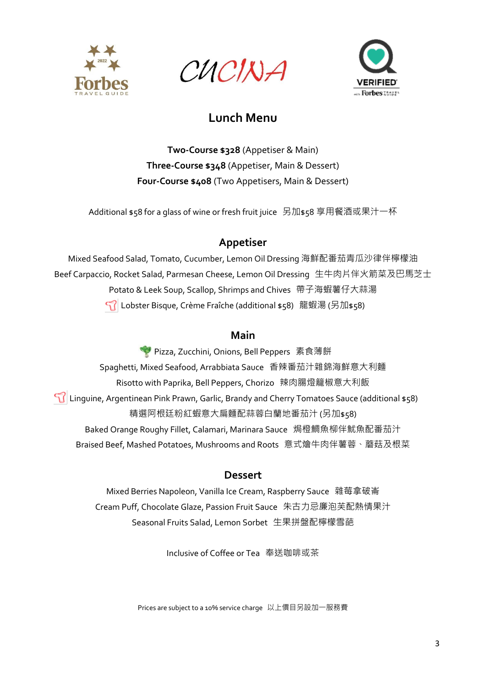

CUCINA



**Two-Course \$328** (Appetiser & Main) **Three-Course \$348** (Appetiser, Main & Dessert) **Four-Course \$408** (Two Appetisers, Main & Dessert)

Additional \$58 for a glass of wine or fresh fruit juice 另加\$58 享用餐酒或果汁一杯

### **Appetiser**

Mixed Seafood Salad, Tomato, Cucumber, Lemon Oil Dressing 海鮮配番茄青瓜沙律伴檸檬油 Beef Carpaccio, Rocket Salad, Parmesan Cheese, Lemon Oil Dressing 生牛肉片伴火箭菜及巴馬芝士 Potato & Leek Soup, Scallop, Shrimps and Chives 帶子海蝦薯仔大蒜湯 Lobster Bisque, Crème Fraîche (additional \$58) 龍蝦湯 (另加\$58)

### **Main**

◆ Pizza, Zucchini, Onions, Bell Peppers 素食薄餅 Spaghetti, Mixed Seafood, Arrabbiata Sauce 香辣番茄汁雜錦海鮮意大利麵 Risotto with Paprika, Bell Peppers, Chorizo 辣肉腸燈籠椒意大利飯 Linguine, Argentinean Pink Prawn, Garlic, Brandy and Cherry Tomatoes Sauce (additional \$58) 精選阿根廷粉紅蝦意大扁麵配蒜蓉白蘭地番茄汁 (另加\$58) Baked Orange Roughy Fillet, Calamari, Marinara Sauce 焗橙鯛魚柳伴魷魚配番茄汁 Braised Beef, Mashed Potatoes, Mushrooms and Roots 意式燴牛肉伴薯蓉、蘑菇及根菜

### **Dessert**

Mixed Berries Napoleon, Vanilla Ice Cream, Raspberry Sauce 雜莓拿破崙 Cream Puff, Chocolate Glaze, Passion Fruit Sauce 朱古力忌廉泡芙配熱情果汁 Seasonal Fruits Salad, Lemon Sorbet 生果拼盤配檸檬雪葩

Inclusive of Coffee or Tea 奉送咖啡或茶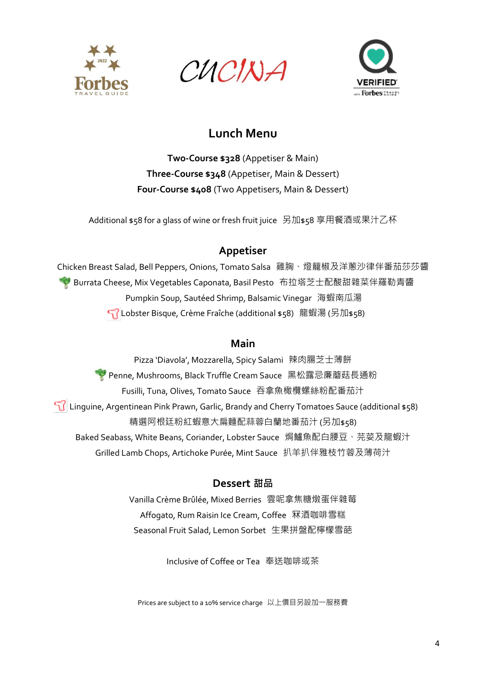

CUCINA



**Two-Course \$328** (Appetiser & Main) **Three-Course \$348** (Appetiser, Main & Dessert) **Four-Course \$408** (Two Appetisers, Main & Dessert)

Additional \$58 for a glass of wine or fresh fruit juice 另加\$58 享用餐酒或果汁乙杯

### **Appetiser**

Chicken Breast Salad, Bell Peppers, Onions, Tomato Salsa 雞胸、燈籠椒及洋蔥沙律伴番茄莎莎醬 **N** Burrata Cheese, Mix Vegetables Caponata, Basil Pesto 布拉塔芝士配酸甜雜菜伴羅勒青醬 Pumpkin Soup, Sautéed Shrimp, Balsamic Vinegar 海蝦南瓜湯 Lobster Bisque, Crème Fraîche (additional \$58) 龍蝦湯 (另加\$58)

#### **Main**

Pizza 'Diavola', Mozzarella, Spicy Salami 辣肉腸芝士薄餅 Penne, Mushrooms, Black Truffle Cream Sauce 黑松露忌廉蘑菇長通粉 Fusilli, Tuna, Olives, Tomato Sauce 吞拿魚橄欖螺絲粉配番茄汁 Linguine, Argentinean Pink Prawn, Garlic, Brandy and Cherry Tomatoes Sauce (additional \$58) 精選阿根廷粉紅蝦意大扁麵配蒜蓉白蘭地番茄汁 (另加\$58) Baked Seabass, White Beans, Coriander, Lobster Sauce 焗鱸魚配白腰豆、芫荽及龍蝦汁 Grilled Lamb Chops, Artichoke Purée, Mint Sauce 扒羊扒伴雅枝竹蓉及薄荷汁

### **Dessert 甜品**

Vanilla Crème Brûlée, Mixed Berries 雲呢拿焦糖燉蛋伴雜莓 Affogato, Rum Raisin Ice Cream, Coffee 冧酒咖啡雪糕 Seasonal Fruit Salad, Lemon Sorbet 生果拼盤配檸檬雪葩

Inclusive of Coffee or Tea 奉送咖啡或茶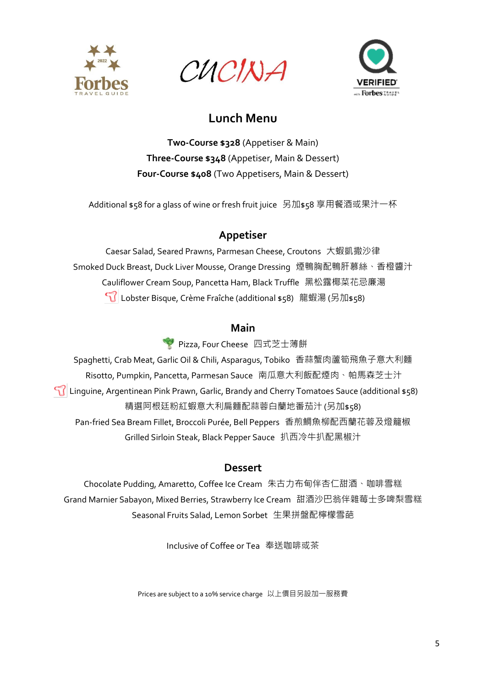

CUCINA



**Two-Course \$328** (Appetiser & Main) **Three-Course \$348** (Appetiser, Main & Dessert) **Four-Course \$408** (Two Appetisers, Main & Dessert)

Additional \$58 for a glass of wine or fresh fruit juice 另加\$58 享用餐酒或果汁一杯

### **Appetiser**

Caesar Salad, Seared Prawns, Parmesan Cheese, Croutons 大蝦凱撒沙律 Smoked Duck Breast, Duck Liver Mousse, Orange Dressing 煙鴨胸配鴨肝慕絲、香橙醬汁 Cauliflower Cream Soup, Pancetta Ham, Black Truffle 黑松露椰菜花忌廉湯 Lobster Bisque, Crème Fraîche (additional \$58) 龍蝦湯 (另加\$58)

#### **Main**

Pizza, Four Cheese 四式芝士薄餅

Spaghetti, Crab Meat, Garlic Oil & Chili, Asparagus, Tobiko 香蒜蟹肉蘆筍飛魚子意大利麵 Risotto, Pumpkin, Pancetta, Parmesan Sauce 南瓜意大利飯配煙肉、帕馬森芝士汁 Linguine, Argentinean Pink Prawn, Garlic, Brandy and Cherry Tomatoes Sauce (additional \$58) 精選阿根廷粉紅蝦意大利扁麵配蒜蓉白蘭地番茄汁 (另加\$58) Pan-fried Sea Bream Fillet, Broccoli Purée, Bell Peppers 香煎鯛魚柳配西蘭花蓉及燈籠椒 Grilled Sirloin Steak, Black Pepper Sauce 扒西冷牛扒配黑椒汁

#### **Dessert**

Chocolate Pudding, Amaretto, Coffee Ice Cream 朱古力布甸伴杏仁甜酒、咖啡雪糕 Grand Marnier Sabayon, Mixed Berries, Strawberry Ice Cream 甜酒沙巴翁伴雜莓士多啤梨雪糕 Seasonal Fruits Salad, Lemon Sorbet 生果拼盤配檸檬雪葩

Inclusive of Coffee or Tea 奉送咖啡或茶